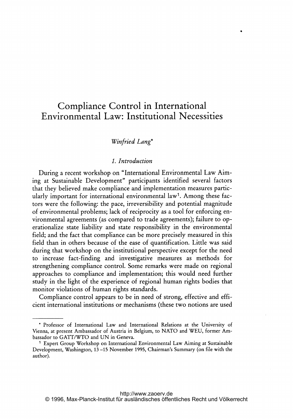# Compliance Control in International Environmental Law: Institutional Necessities

## Winfried Lang\*

#### 1. Introduction

During <sup>a</sup> recent workshop on "International Environmental Law Aiming at Sustainable Development" participants identified several factors that they believed make compliance and implementation measures particularly important for international environmental law'. Among these factors were the following: the pace, irreversibility and potential magnitude of environmental problems; lack of reciprocity as <sup>a</sup> tool for enforcing environmental agreements (as compared to trade agreements); failure to operationalize state liability and state responsibility in the environmental field; and the fact that compliance can be more precisely measured in this field than in others because of the ease of quantification. Little was said during that workshop on the institutional perspective except for the need to increase fact-finding and investigative measures as methods for strengthening compliance control. Some remarks were made on regional approaches to compliance and implementation; this would need further study in the light of the experience of regional human rights bodies that monitor violations of human rights standards.

Compliance control appears to be in need of strong, effective and efficient international institutions or mechanisms (these two notions are used

<sup>\*</sup> Professor of International Law and International Relations at the University of Vienna, at present Ambassador of Austria in Belgium, to NATO and WEU, former Ambassador to GATT/WTO and UN in Geneva.

<sup>&</sup>lt;sup>1</sup> Expert Group Workshop on International Environmental Law Aiming at Sustainable Development, Washington, <sup>13</sup> -15 November 1995, Chairman's Summary (on file with the author).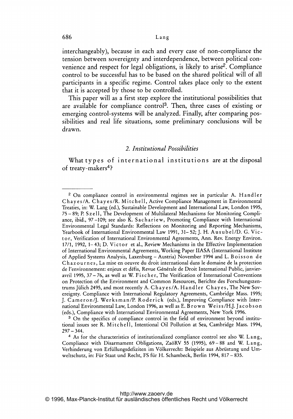interchangeably), because in each and every case of non-compliance the tension between sovereignty and interdependence, between political convenience and respect for legal obligations, is likely to arise<sup>2</sup>. Compliance control to be successful has to be based on the shared political will of all participants in <sup>a</sup> specific regime. Control takes place only to the extent that it is accepted by those to be controlled.

This paper will as <sup>a</sup> first step explore the institutional possibilities that are available for compliance control3. Then, three cases of existing or emerging control-systems will be analyzed. Finally, after comparing possibilities and real life situations, some preliminary conclusions will be drawn.

#### 2. Institutional Possibilities

What types of international institutions are at the disposal of treaty-makers<sup>4</sup>?

<sup>3</sup> On the specifics of compliance control in the field of environment beyond institutional issues see R. Mitchell, Intentional Oil Pollution at Sea, Cambridge Mass. 1994,  $297 - 344.$ 

<sup>2</sup> On compliance control in environmental regimes see in particular A. Handler Chayes/A. Chayes/R. Mitchell, Active Compliance Management in Environmental Treaties, in: W, Lang (ed.), Sustainable Development and International Law, London 1995, 75 - 89; P. <sup>S</sup> <sup>z</sup> <sup>e</sup> 11, The Development of Multilateral Mechanisms for Monitoring Compliance, ibid., 97-109; see also K. Sachariew, Promoting Compliance with International Environmental Legal Standards: Reflections on Monitoring and Reporting Mechanisms, Yearbook of International Environmental Law 1991, 31–52; J. H. Ausubel/D. G. Victo r, Verification of International Environmental Agreements, Ann. Rev. Energy Environ. 17/1, 1992, 1–43; D. Victor et al., Review Mechanisms in the Effective Implementation of International Environmental Agreements, Working Paper IIASA (International Institute of Applied Systems Analysis, Laxenburg - Austria) November 1994 and L. Boisson de Chazournes, La mise en oeuvre du droit international dans le domaine de la protection de l'environnement: enjeux et défis, Revue Générale de Droit International Public, janvieravril 1995, 37 – 76, as well as W. Fischer, The Verification of International Conventions on Protection of the Environment and Common Resources, Berichte des Forschungszentrums Jülich 2495, and most recently A. Chayes/A. Handler Chayes, The New Sovereignty. Compliance with International Regulatory Agreements, Cambridge Mass. 1995; J. Cameron/j. Werksman/P. Roderick (eds.), Improving Compliance with International Environmental Law, London 1996, as well as E. Brown Weiss/H.J. Jacobson (eds.), Compliance with International Environmental Agreements, New York 1996.

<sup>&</sup>lt;sup>4</sup> As for the characteristics of institutionalized compliance control see also W. Lang, Compliance with Disarmament Obligations, ZaöRV 55 (1995), 69 - 88 and W. Lang Verhinderung von Erfüllungsdefiziten im Völkerrecht: Beispiele aus Abrüstung und Umweltschutz, in: Für Staat und Recht, FS für H. Schambeck, Berlin 1994, 817 - 835.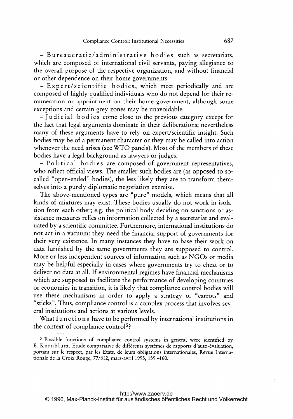- Bu reaucratic/ad minis trative bodies such as secretariats, which are composed of international civil servants, paying allegiance to the overall purpose of the respective organization, and without financial or other dependence on their home governments.

- Expert/scientific bodies, which meet periodically and are composed of highly qualified individuals who do not depend for their remuneration or appointment on their home government, although some exceptions and certain grey zones may be unavoidable.

-judicial bodies come close to the previous category except for the fact that legal arguments dominate in their deliberations; nevertheless many of these arguments have to rely on expert/scientific insight. Such bodies may be of <sup>a</sup> permanent character or they may be called into action whenever the need arises (see WTO panels). Most of the members of these bodies have <sup>a</sup> legal background as lawyers or judges.

-Political bodies are composed of government representatives, who reflect official views. The smaller such bodies are (as opposed to socalled "open-ended" bodies), the less likely they are to transform themselves into a purely diplomatic negotiation exercise.

The above-mentioned types are "pure" models, which means that all kinds of mixtures may exist. These bodies usually do not work in isolation from each other; e.g. the political body deciding on sanctions or assistance measures relies on information collected by <sup>a</sup> secretariat and evaluated by <sup>a</sup> scientific committee. Furthermore, international institutions do not act in <sup>a</sup> vacuum: they need the financial support of governments for their very existence. In many instances they have to base their work on data furnished by the same governments they are supposed to control. More or less independent sources of information such as NGOs or media may be helpful especially in cases where governments try to cheat or to deliver no data at all. If environmental regimes have financial mechanisms which are supposed to facilitate the performance of developing countries or economies in transition, it is likely that compliance control bodies will use these mechanisms in order to apply <sup>a</sup> strategy of "carrots" and "sticks". Thus, compliance control is a complex process that involves several institutions and actions at various levels.

What functions have to be performed by international institutions in the context of compliance control5)

<sup>5</sup> Possible functions of compliance control systems in general were identified by E. Kornblum, Etude comparative de différents systèmes de rapports d'auto-évaluation, portant sur le respect, par les Etats, de leurs obligations internationales, Revue Internationale de la Croix Rouge, 77/812, mars-avril 1995, 159 -160.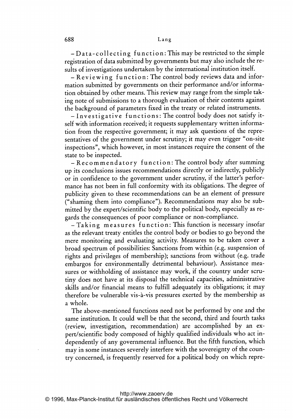-Data-collecting function: This maybe restricted to the simple registration of data submitted by governments but may also include the results of investigations undertaken by the international institution itself.

- Reviewing function: The control body reviews data and information submitted by governments on their performance and/or information obtained by other means. This review may range from the simple taking note of submissions to <sup>a</sup> thorough evaluation of their contents against the background of parameters fixed in the treaty or related instruments.

- Investigative functions: The control body does not satisfy itself with information received; it requests supplementary written information from the respective government; it may ask questions of the representatives of the government under scrutiny; it may even trigger "on-site inspections", which however, in most instances require the consent of the state to be inspected.

- Recommendatory function: The control body after summing up its conclusions issues recommendations directly or indirectly, publicly or in confidence to the government under scrutiny, if the latter's performance has not been in full conformity with its obligations. The degree of publicity given to these recommendations can be an element of pressure ("shaming them into compliance"). Recommendations may also be submitted by the expert/scientific body to the political body, especially as regards the consequences of poor compliance or non-compliance.

-Taking measures function: This function is necessary insofar as the relevant treaty entitles the control body or bodies to go beyond the mere monitoring and evaluating activity. Measures to be taken cover <sup>a</sup> broad spectrum of possibilities: Sanctions from within (e.g. suspension of rights and privileges of membership); sanctions from without (e.g. trade embargos for environmentally detrimental behaviour). Assistance measures or withholding of assistance may work, if the country under scrutiny does not have at its disposal the technical capacities, administrative skills and/or financial means to fulfill adequately its obligations; it may therefore be vulnerable vis-à-vis pressures exerted by the membership as a whole.

The above-mentioned functions need not be performed by one and the same institution. It could well be that the second, third and fourth tasks (review, investigation, recommendation) are accomplished by an expert/scientific body composed of highly qualified individuals who act independently of any governmental influence. But the fifth function, which may in some instances severely interfere with the sovereignty of the country concerned, is frequently reserved for <sup>a</sup> political body on which repre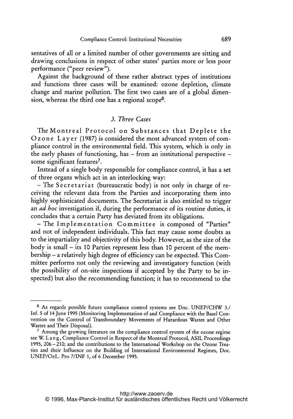sentatives of all or <sup>a</sup> limited number of other governments are sitting and drawing conclusions in respect of other states' parties more or less poor performance ("peer review").

Against the background of these rather abstract types of institutions and functions three cases will be examined: ozone depletion, climate change and marine pollution. The first two cases are of <sup>a</sup> global dimension, whereas the third one has <sup>a</sup> regional scope6.

### 3. Three Cases

The Montreal Protocol on Substances that Deplete the Ozone Layer (1987) is considered the most advanced system of compliance control in the environmental field. This system, which is only in the early phases of functioning, has - from an institutional perspective some significant features<sup>7</sup>.

Instead of a single body responsible for compliance control, it has <sup>a</sup> set of three organs which act in an interlocking way:

- The Secretariat (bureaucratic body) is not only in charge of receiving the relevant data from the Parties and incorporating them into highly sophisticated documents. The Secretariat is also entitled to trigger an ad hoc investigation if, during the performance of its routine duties, it concludes that <sup>a</sup> certain Party has deviated from its obligations.

- The Implementation Committee is composed of "Parties" and not of independent individuals. This fact may cause some doubts as to the impartiality and objectivity of this body. However, as the size of the body is small - its 10 Parties represent less than 10 percent of the membership - <sup>a</sup> relatively high degree of efficiency can be expected. This Committee performs not only the reviewing and investigatory function (with the possibility of on-site inspections if accepted by the Party to be inspected) but also the recommending function; it has to recommend to the

<sup>6</sup> As regards possible future compliance control systems see Doc. UNEP/CHW 3./ Inf. <sup>5</sup> of 14 June 1995 (Monitoring Implementation of and Compliance with the Basel Convention on the Control of Transboundary Movements of Hazardous Wastes and Other Wastes and Their Disposal).

<sup>&</sup>lt;sup>7</sup> Among the growing literature on the compliance control system of the ozone regime see W. Lang, Compliance Control in Respect of the Montreal Protocol, ASIL Proceedings 1995, 206 - 210; and the contributions to the international Workshop on the Ozone Treaties and their Influence on the Building of International Environmental Regimes, Doc. UNEP/OzL. Pro 7/INF 1, of <sup>6</sup> December 1995.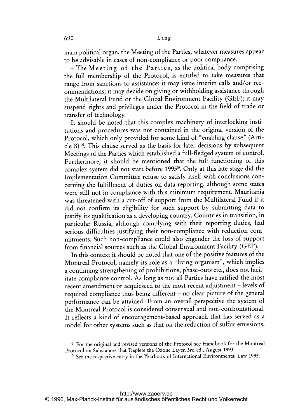main political organ, the Meeting of the Parties, whatever measures appear to be advisable in cases of non-compliance or poor compliance.

 $-$  The Meeting of the Parties, as the political body comprising the full membership of the Protocol, is entitled to take measures that range from sanctions to assistance: it may issue interim calls and/or recommendations; it may decide on giving or withholding assistance through the Multilateral Fund or the Global Environment Facility (GEF); it may suspend rights and privileges under the Protocol in the field of trade or transfer of technology.

It should be noted that this complex machinery of interlocking institutions and procedures was not contained in the original version of the Protocol, which only provided for some kind of "enabling clause" (Article 8) 8. This clause served as the basis for later decisions by subsequent Meetings of the Parties which established <sup>a</sup> full-fledged system of control. Furthermore, it should be mentioned that the full functioning of this complex system did not start before 19959. Only at this late stage did the Implementation Committee refuse to satisfy itself with conclusions concerning the fulfillment of duties on data reporting, although some states were still not in compliance with this minimum requirement. Mauritania was threatened with <sup>a</sup> cut-off of support from the Multilateral Fund if it did not confirm its eligibility for such support by submitting data to justify its qualification as <sup>a</sup> developing country. Countries in transition, in particular Russia, although complying with their reporting duties, had serious difficulties justifying their non-compliance with reduction commitments. Such non-compliance could also engender the loss of support from financial sources such as the Global Environment Facility (GEF).

In this context it should be noted that one of the positive features of the Montreal Protocol, namely its role as <sup>a</sup> "living organism", which implies <sup>a</sup> continuing strengthening of prohibitions, phase-outs etc., does not facilitate compliance control. As long as not all Parties have ratified the most recent amendment or acquiesced to the most recent adjustment – levels of required compliance thus being different - no clear picture of the general performance can be attained. From an overall perspective the system of the Montreal Protocol is considered consensual and non-confrontational. It reflects <sup>a</sup> kind of encouragement-based approach that has served as <sup>a</sup> model for other systems such as that on the reduction of sulfur emissions.

<sup>8</sup> For the original and revised versions of the Protocol see Handbook for the Montreal Protocol on Substances that Deplete the Ozone Layer, 3rd ed., August 1993.

<sup>9</sup> See the respective entry in the Yearbook of international Environmental Law 1995.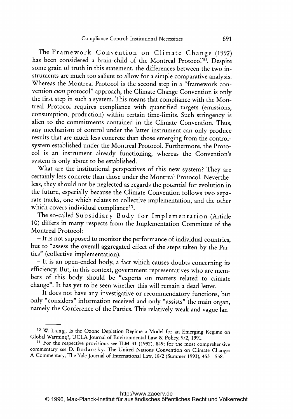The Framework Convention on Climate Change (1992) has been considered a brain-child of the Montreal Protocol<sup>10</sup>. Despite some grain of truth in this statement, the differences between the two instruments are much too salient to allow for <sup>a</sup> simple comparative analysis. Whereas the Montreal Protocol is the second step in <sup>a</sup> "framework convention *cum* protocol" approach, the Climate Change Convention is only the first step in such <sup>a</sup> system. This means that compliance with the Montreal Protocol requires compliance with quantified targets (emissions, consumption, production) within certain time-limits. Such stringency is alien to the commitments contained in the Climate Convention. Thus, any mechanism of control under the latter instrument can only produce results that are much less concrete than those emerging from the controlsystem established under the Montreal Protocol. Furthermore, the Protocol is an instrument already functioning, whereas the Convention's system is only about to be established.

What are the institutional perspectives of this new system? They are certainly less concrete than those under the Montreal Protocol. Nevertheless, they should not be neglected as regards the potential for evolution in the future, especially because the Climate Convention follows two separate tracks, one which relates to collective implementation, and the other which covers individual compliance<sup>11</sup>.

The so-called Subsidiary Body for Implementation (Article 10) differs in many respects from the Implementation Committee of the Montreal Protocol:

- It is not supposed to monitor the performance of individual countries, but to "assess the overall aggregated effect of the steps taken by the Parties" (collective implementation).

- It is an open-ended body, <sup>a</sup> fact which causes doubts concerning its efficiency. But, in this context, government representatives who are members of this body should be "experts on matters related to climate change". It has yet to be seen whether this will remain <sup>a</sup> dead letter.

- It does not have any investigative or recommendatory functions, but only "considers" information received and only "assists" the main organ, namely the Conference of the Parties. This relatively weak and vague lan-

<sup>10</sup> W. Lang, Is the Ozone Depletion Regime <sup>a</sup> Model for an Emerging Regime on Global Warming?, UCLA journal of Environmental Law & Policy, 9/2,1991.

<sup>11</sup> For the respective provisions see ILM <sup>31</sup> (1992), 849; for the most comprehensive commentary see D. Bodansky, The United Nations Convention on Climate Change: A Commentary, The Yale journal of International Law, 18/2 (Summer 1993), <sup>453</sup> - 558.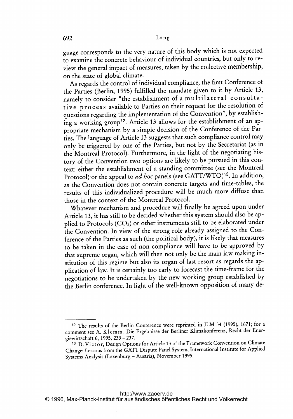guage corresponds to the very nature of this body which is not expected to examine the concrete behaviour of individual countries, but only to review the general impact of measures, taken by the collective membership, on the state of global climate.

As regards the control of individual compliance, the first Conference of the Parties (Berlin, 1995) fulfilled the mandate given to it by Article 13, namely to consider "the establishment of a multilateral consultative process available to Parties on their request for the resolution of questions regarding the implementation of the Convention", by establishing a working group<sup>12</sup>. Article 13 allows for the establishment of an appropriate mechanism by <sup>a</sup> simple decision of the Conference of the Parties. The language of Article <sup>13</sup> suggests that such compliance control may only be triggered by one of the Parties, but not by the Secretariat (as in the Montreal Protocol). Furthermore, in the light of the negotiating history of the Convention two options are likely to be pursued in this context: either the establishment of <sup>a</sup> standing committee (see the Montreal Protocol) or the appeal to *ad hoc* panels (see GATT/WTO)<sup>13</sup>. In addition, as the Convention does not contain concrete targets and time-tables, the results of this individualized procedure will be much more diffuse than those in the context of the Montreal Protocol.

Whatever mechanism and procedure will finally be agreed upon under Article 13, it has still to be decided whether this system should also be applied to Protocols (C02) or other instruments still to be elaborated under the Convention. In view of the strong role already assigned to the Conference of the Parties as such (the political body), it is likely that measures to be taken in the case of non-compliance will have to be approved by that supreme organ, which will then not only be the main law making institution of this regime but also its organ of last resort as regards the application of law. It is certainly too early to forecast the time-frame for the negotiations to be undertaken by the new working group established by the Berlin conference. In light of the well-known opposition of many de-

<sup>12</sup> The results of the Berlin Conference were reprinted in ILM <sup>34</sup> (1995), 1671; for <sup>a</sup> comment see A. K <sup>I</sup> <sup>e</sup> mm, Die Ergebnisse der Berliner Klimakonferenz, Recht der Energiewirtschaft 6, 1995, 233 - 237.

<sup>&</sup>lt;sup>13</sup> D. Victor, Design Options for Article 13 of the Framework Convention on Climate Change: Lessons from the GATT Dispute Panel System, International Institute for Applied Systems Analysis (Laxenburg - Austria), November 1995.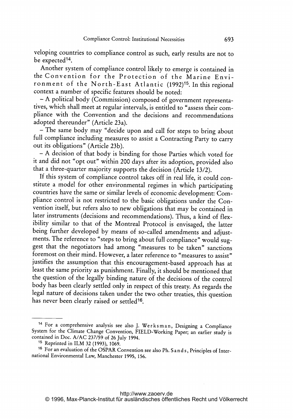veloping countries to compliance control as such, early results are not to be expected14.

Another system of compliance control likely to emerge is contained in the Convention for the Protection of the Marine Environment of the North-East Atlantic (1992)<sup>15</sup>. In this regional context <sup>a</sup> number of specific features should be noted:

- A political body (Commission) composed of government representatives, which shall meet at regular intervals, is entitled to "assess their compliance with the Convention and the decisions and recommendations adopted thereunder" (Article 23a).

- The same body may "decide upon and call for steps to bring about full compliance including measures to assist <sup>a</sup> Contracting Party to carry out its obligations" (Article 23b).

- A decision of that body is binding for those Parties which voted for it and did not "opt out" within 200 days after its adoption, provided also that <sup>a</sup> three-quarter majority supports the decision (Article 13/2).

If this system of compliance control takes off in real life, it could constitute <sup>a</sup> model for other environmental regimes in which participating countries have the same or similar levels of economic development: Compliance control is not restricted to the basic obligations under the Convention itself, but refers also to new obligations that may be contained in later instruments (decisions and recommendations). Thus, a kind of flexibility similar to that of the Montreal Protocol is envisaged, the latter being further developed by means of so-called amendments and adjustments. The reference to "steps to bring about full compliance" would suggest that the negotiators had among "measures to be taken" sanctions foremost on their mind. However, <sup>a</sup> later reference to "measures to assist" justifies the assumption that this encouragement-based approach has at least the same priority as punishment. Finally, it should be mentioned that the question of the legally binding nature of the decisions of the control body has been clearly settled only in respect of this treaty. As regards the legal nature of decisions taken under the two other treaties, this question has never been clearly raised or settled<sup>16</sup>.

<sup>&</sup>lt;sup>14</sup> For a comprehensive analysis see also J. Werksman, Designing a Compliance System for the Climate Change Convention, FIELD-Working Paper; an earlier study is contained in Doc. A/AC 237/59 of <sup>26</sup> July 1994.

<sup>15</sup> Reprinted in ILM <sup>32</sup> (1993), 1069.

<sup>&</sup>lt;sup>16</sup> For an evaluation of the OSPAR Convention see also Ph. S and s, Principles of International Environmental Law, Manchester 1995, 156.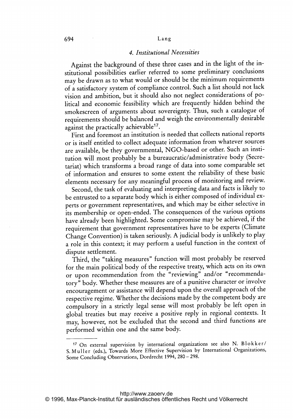#### 694 Lang

#### 4. Institutional Necessities

Against the background of these three cases and in the light of the institutional possibilities earlier referred to some preliminary conclusions may be drawn as to what would or should be the minimum requirements of <sup>a</sup> satisfactory system of compliance control. Such <sup>a</sup> list should not lack vision and ambition, but it should also not neglect considerations of political and economic feasibility which are frequently hidden behind the smokescreen of arguments about sovereignty. Thus, such <sup>a</sup> catalogue of requirements should be balanced and weigh the environmentally desirable against the practically achievable<sup>17</sup>

First and foremost an institution is needed that collects national reports or is itself entitled to collect adequate information from whatever sources are available, be they governmental, NGO-based or other. Such an institution will most probably be <sup>a</sup> bureaucratic/administrative body (Secretariat) which transforms <sup>a</sup> broad range of data into some comparable set of information and ensures to some extent the reliability of these basic elements necessary for any meaningful process of monitoring and review.

Second, the task of evaluating and interpreting data and facts is likely to be entrusted to <sup>a</sup> separate body which is either composed of individual experts or government representatives, and which may be either selective in its membership or open-ended. The consequences of the various options have already been highlighted. Some compromise may be achieved, if the requirement that government representatives have to be experts (Climate Change Convention) is taken seriously. A judicial body is unlikely to play <sup>a</sup> role in this context; it may perform <sup>a</sup> useful function in the context of dispute settlement.

Third, the "taking measures" function will most probably be reserved for the main political body of the respective treaty, which acts on its own or upon recommendation from the "reviewing" and/or "recommendatory" body. Whether these measures are of <sup>a</sup> punitive character or involve encouragement or assistance will depend upon the overall approach of the respective regime. Whether the decisions made by the competent body are compulsory in a strictly legal sense will most probably be left open in global treaties but may receive <sup>a</sup> positive reply in regional contexts. It may, however, not be excluded that the second and third functions are performed within one and the same body.

<sup>17</sup> On external supervision by international organizations see also N. Blokker/ S. Muller (eds.), Towards More Effective Supervision by International Organizations, Some Concluding Observations, Dordrecht 1994, <sup>280</sup> - 298.